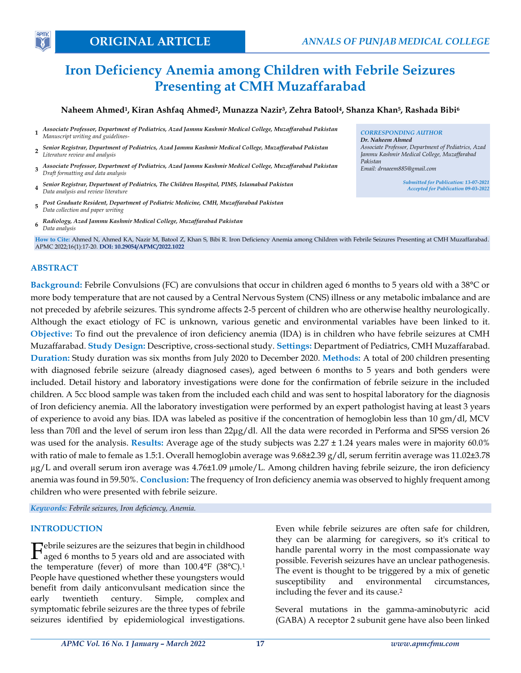# **Iron Deficiency Anemia among Children with Febrile Seizures Presenting at CMH Muzaffarabad**

## Naheem Ahmed<sup>1</sup>, Kiran Ashfaq Ahmed<sup>2</sup>, Munazza Nazir<sup>3</sup>, Zehra Batool<sup>4</sup>, Shanza Khan<sup>5</sup>, Rashada Bibi<sup>6</sup>

- **1** *Associate Professor, Department of Pediatrics, Azad Jammu Kashmir Medical College, Muzaffarabad Pakistan Manuscript writing and guidelines-*
- **2** *Senior Registrar, Department of Pediatrics, Azad Jammu Kashmir Medical College, Muzaffarabad Pakistan Literature review and analysis*
- **3** *Associate Professor, Department of Pediatrics, Azad Jammu Kashmir Medical College, Muzaffarabad Pakistan Draft formatting and data analysis*
- **4** *Senior Registrar, Department of Pediatrics, The Children Hospital, PIMS, Islamabad Pakistan Data analysis and review literature*
- **5** *Post Graduate Resident, Department of Pediatric Medicine, CMH, Muzaffarabad Pakistan Data collection and paper writing*
- **6** *Radiology, Azad Jammu Kashmir Medical College, Muzaffarabad Pakistan Data analysis*

**How to Cite:** Ahmed N, Ahmed KA, Nazir M, Batool Z, Khan S, Bibi R. Iron Deficiency Anemia among Children with Febrile Seizures Presenting at CMH Muzaffarabad. APMC 2022;16(1):17-20. **DOI: 10.29054/APMC/2022.1022**

#### **ABSTRACT**

**APM** 

**Background:** Febrile Convulsions (FC) are convulsions that occur in children aged 6 months to 5 years old with a 38°C or more body temperature that are not caused by a Central Nervous System (CNS) illness or any metabolic imbalance and are not preceded by afebrile seizures. This syndrome affects 2-5 percent of children who are otherwise healthy neurologically. Although the exact etiology of FC is unknown, various genetic and environmental variables have been linked to it. **Objective:** To find out the prevalence of iron deficiency anemia (IDA) is in children who have febrile seizures at CMH Muzaffarabad. **Study Design:** Descriptive, cross-sectional study. **Settings:** Department of Pediatrics, CMH Muzaffarabad. **Duration:** Study duration was six months from July 2020 to December 2020. **Methods:** A total of 200 children presenting with diagnosed febrile seizure (already diagnosed cases), aged between 6 months to 5 years and both genders were included. Detail history and laboratory investigations were done for the confirmation of febrile seizure in the included children. A 5cc blood sample was taken from the included each child and was sent to hospital laboratory for the diagnosis of Iron deficiency anemia. All the laboratory investigation were performed by an expert pathologist having at least 3 years of experience to avoid any bias. IDA was labeled as positive if the concentration of hemoglobin less than 10 gm/dl, MCV less than 70fl and the level of serum iron less than 22μg/dl. All the data were recorded in Performa and SPSS version 26 was used for the analysis. **Results:** Average age of the study subjects was 2.27 ± 1.24 years males were in majority 60.0% with ratio of male to female as 1.5:1. Overall hemoglobin average was 9.68±2.39 g/dl, serum ferritin average was 11.02±3.78 µg/L and overall serum iron average was 4.76±1.09 µmole/L. Among children having febrile seizure, the iron deficiency anemia was found in 59.50%. **Conclusion:** The frequency of Iron deficiency anemia was observed to highly frequent among children who were presented with febrile seizure.

*Keywords: Febrile seizures, Iron deficiency, Anemia.*

#### **INTRODUCTION**

ebrile seizures are the seizures that begin in childhood Febrile seizures are the seizures that begin in childhood<br>aged 6 months to 5 years old and are associated with the temperature (fever) of more than  $100.4^{\circ}$ F (38 $^{\circ}$ C).<sup>1</sup> People have questioned whether these youngsters would benefit from daily anticonvulsant medication since the early twentieth century. Simple, complex and symptomatic febrile seizures are the three types of febrile seizures identified by epidemiological investigations.

Even while febrile seizures are often safe for children, they can be alarming for caregivers, so it's critical to handle parental worry in the most compassionate way possible. Feverish seizures have an unclear pathogenesis. The event is thought to be triggered by a mix of genetic susceptibility and environmental circumstances, including the fever and its cause.<sup>2</sup>

Several mutations in the gamma-aminobutyric acid (GABA) A receptor 2 subunit gene have also been linked

*CORRESPONDING AUTHOR Dr. Naheem Ahmed Associate Professor, Department of Pediatrics, Azad Jammu Kashmir Medical College, Muzaffarabad Pakistan Email: drnaeem885@gmail.com*

> *Submitted for Publication: 13-07-2021 Accepted for Publication 09-03-2022*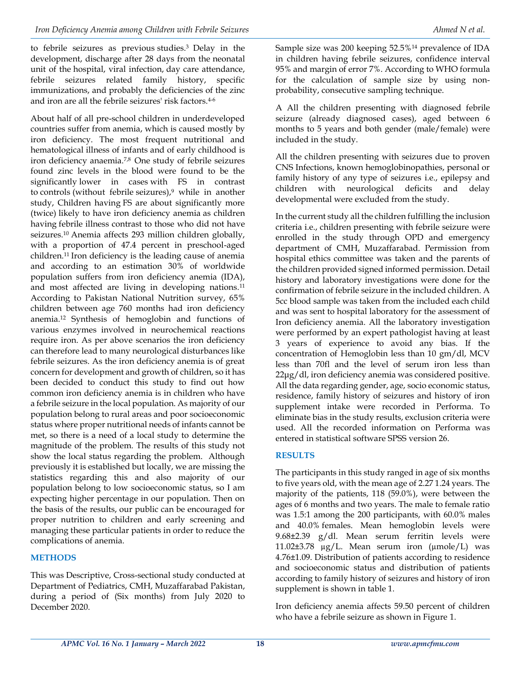to febrile seizures as previous studies.3 Delay in the development, discharge after 28 days from the neonatal unit of the hospital, viral infection, day care attendance, febrile seizures related family history, specific immunizations, and probably the deficiencies of the zinc and iron are all the febrile seizures' risk factors.4-6

About half of all pre-school children in underdeveloped countries suffer from anemia, which is caused mostly by iron deficiency. The most frequent nutritional and hematological illness of infants and of early childhood is iron deficiency anaemia.7,8 One study of febrile seizures found zinc levels in the blood were found to be the significantly lower in cases with FS in contrast to controls (without febrile seizures), $9$  while in another study, Children having FS are about significantly more (twice) likely to have iron deficiency anemia as children having febrile illness contrast to those who did not have seizures.10 Anemia affects 293 million children globally, with a proportion of 47.4 percent in preschool-aged children.11 Iron deficiency is the leading cause of anemia and according to an estimation 30% of worldwide population suffers from iron deficiency anemia (IDA), and most affected are living in developing nations.<sup>11</sup> According to Pakistan National Nutrition survey, 65% children between age 760 months had iron deficiency anemia.<sup>12</sup> Synthesis of hemoglobin and functions of various enzymes involved in neurochemical reactions require iron. As per above scenarios the iron deficiency can therefore lead to many neurological disturbances like febrile seizures. As the iron deficiency anemia is of great concern for development and growth of children, so it has been decided to conduct this study to find out how common iron deficiency anemia is in children who have a febrile seizure in the local population. As majority of our population belong to rural areas and poor socioeconomic status where proper nutritional needs of infants cannot be met, so there is a need of a local study to determine the magnitude of the problem. The results of this study not show the local status regarding the problem. Although previously it is established but locally, we are missing the statistics regarding this and also majority of our population belong to low socioeconomic status, so I am expecting higher percentage in our population. Then on the basis of the results, our public can be encouraged for proper nutrition to children and early screening and managing these particular patients in order to reduce the complications of anemia.

## **METHODS**

This was Descriptive, Cross-sectional study conducted at Department of Pediatrics, CMH, Muzaffarabad Pakistan, during a period of (Six months) from July 2020 to December 2020.

Sample size was 200 keeping 52.5%<sup>14</sup> prevalence of IDA in children having febrile seizures, confidence interval 95% and margin of error 7%. According to WHO formula for the calculation of sample size by using nonprobability, consecutive sampling technique.

A All the children presenting with diagnosed febrile seizure (already diagnosed cases), aged between 6 months to 5 years and both gender (male/female) were included in the study.

All the children presenting with seizures due to proven CNS Infections, known hemoglobinopathies, personal or family history of any type of seizures i.e., epilepsy and children with neurological deficits and delay developmental were excluded from the study.

In the current study all the children fulfilling the inclusion criteria i.e., children presenting with febrile seizure were enrolled in the study through OPD and emergency department of CMH, Muzaffarabad. Permission from hospital ethics committee was taken and the parents of the children provided signed informed permission. Detail history and laboratory investigations were done for the confirmation of febrile seizure in the included children. A 5cc blood sample was taken from the included each child and was sent to hospital laboratory for the assessment of Iron deficiency anemia. All the laboratory investigation were performed by an expert pathologist having at least 3 years of experience to avoid any bias. If the concentration of Hemoglobin less than 10 gm/dl, MCV less than 70fl and the level of serum iron less than 22μg/dl, iron deficiency anemia was considered positive. All the data regarding gender, age, socio economic status, residence, family history of seizures and history of iron supplement intake were recorded in Performa. To eliminate bias in the study results, exclusion criteria were used. All the recorded information on Performa was entered in statistical software SPSS version 26.

## **RESULTS**

The participants in this study ranged in age of six months to five years old, with the mean age of 2.27 1.24 years. The majority of the patients, 118 (59.0%), were between the ages of 6 months and two years. The male to female ratio was 1.5:1 among the 200 participants, with 60.0% males and 40.0% females. Mean hemoglobin levels were 9.68±2.39 g/dl. Mean serum ferritin levels were 11.02 $\pm$ 3.78  $\mu$ g/L. Mean serum iron ( $\mu$ mole/L) was 4.76±1.09. Distribution of patients according to residence and socioeconomic status and distribution of patients according to family history of seizures and history of iron supplement is shown in table 1.

Iron deficiency anemia affects 59.50 percent of children who have a febrile seizure as shown in Figure 1.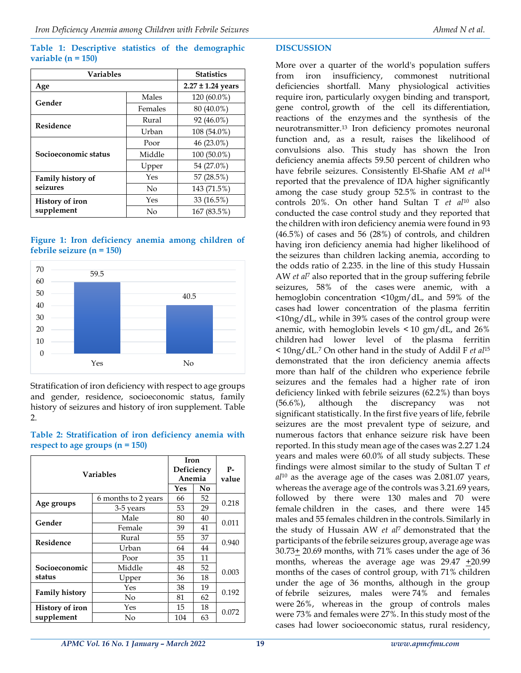#### **Table 1: Descriptive statistics of the demographic variable (n = 150)**

| <b>Variables</b>                     |         | <b>Statistics</b>     |  |
|--------------------------------------|---------|-----------------------|--|
| Age                                  |         | $2.27 \pm 1.24$ years |  |
| Gender                               | Males   | 120 (60.0%)           |  |
|                                      | Females | 80 (40.0%)            |  |
| Residence                            | Rural   | 92 (46.0%)            |  |
|                                      | Urban   | 108 (54.0%)           |  |
| Socioeconomic status                 | Poor    | 46 (23.0%)            |  |
|                                      | Middle  | 100 (50.0%)           |  |
|                                      | Upper   | 54 (27.0%)            |  |
| Family history of<br>seizures        | Yes     | 57 (28.5%)            |  |
|                                      | No      | 143 (71.5%)           |  |
| <b>History of iron</b><br>supplement | Yes     | 33 (16.5%)            |  |
|                                      | No      | 167 (83.5%)           |  |

#### **Figure 1: Iron deficiency anemia among children of febrile seizure (n = 150)**



Stratification of iron deficiency with respect to age groups and gender, residence, socioeconomic status, family history of seizures and history of iron supplement. Table 2.

## **Table 2: Stratification of iron deficiency anemia with respect to age groups (n = 150)**

| <b>Variables</b>       |                     | Iron<br>Deficiency |    | P-    |  |
|------------------------|---------------------|--------------------|----|-------|--|
|                        |                     | Anemia             |    | value |  |
|                        |                     | Yes                | No |       |  |
| Age groups             | 6 months to 2 years | 66                 | 52 | 0.218 |  |
|                        | 3-5 years           | 53                 | 29 |       |  |
| Gender                 | Male                | 80                 | 40 | 0.011 |  |
|                        | Female              | 39                 | 41 |       |  |
| Residence              | Rural               | 55                 | 37 | 0.940 |  |
|                        | Urban               | 64                 | 44 |       |  |
|                        | Poor                | 35                 | 11 |       |  |
| Socioeconomic          | Middle              | 48                 | 52 | 0.003 |  |
| status                 | Upper               | 36                 | 18 |       |  |
| <b>Family history</b>  | Yes                 | 38                 | 19 | 0.192 |  |
|                        | No                  | 81                 | 62 |       |  |
| <b>History of iron</b> | Yes                 | 15                 | 18 | 0.072 |  |
| supplement             | No                  | 104                | 63 |       |  |

## **DISCUSSION**

More over a quarter of the world's population suffers from iron insufficiency, commonest nutritional deficiencies shortfall. Many physiological activities require iron, particularly oxygen binding and transport, gene control, growth of the cell its differentiation, reactions of the enzymes and the synthesis of the neurotransmitter.<sup>13</sup> Iron deficiency promotes neuronal function and, as a result, raises the likelihood of convulsions also. This study has shown the Iron deficiency anemia affects 59.50 percent of children who have febrile seizures. Consistently El-Shafie AM *et al*<sup>14</sup> reported that the prevalence of IDA higher significantly among the case study group 52.5% in contrast to the controls 20%. On other hand Sultan T *et al*<sup>10</sup> also conducted the case control study and they reported that the children with iron deficiency anemia were found in 93 (46.5%) of cases and 56 (28%) of controls, and children having iron deficiency anemia had higher likelihood of the seizures than children lacking anemia, according to the odds ratio of 2.235. in the line of this study Hussain AW *et al*<sup>7</sup> also reported that in the group suffering febrile seizures, 58% of the cases were anemic, with a hemoglobin concentration <10gm/dL, and 59% of the cases had lower concentration of the plasma ferritin <10ng/dL, while in 39% cases of the control group were anemic, with hemoglobin levels  $\leq 10$  gm/dL, and 26% children had lower level of the plasma ferritin < 10ng/dL.<sup>7</sup> On other hand in the study of Addil F *et al*<sup>15</sup> demonstrated that the iron deficiency anemia affects more than half of the children who experience febrile seizures and the females had a higher rate of iron deficiency linked with febrile seizures (62.2%) than boys (56.6%), although the discrepancy was not significant statistically. In the first five years of life, febrile seizures are the most prevalent type of seizure, and numerous factors that enhance seizure risk have been reported. In this study mean age of the cases was 2.27 1.24 years and males were 60.0% of all study subjects. These findings were almost similar to the study of Sultan T *et al*<sup>10</sup> as the average age of the cases was 2.081.07 years, whereas the average age of the controls was 3.21.69 years, followed by there were 130 males and 70 were female children in the cases, and there were 145 males and 55 females children in the controls. Similarly in the study of Hussain AW *et al*7 demonstrated that the participants of the febrile seizures group, average age was 30.73+ 20.69 months, with 71% cases under the age of 36 months, whereas the average age was  $29.47 +20.99$ months of the cases of control group, with 71% children under the age of 36 months, although in the group of febrile seizures, males were 74% and females were 26%, whereas in the group of controls males were 73% and females were 27%. In this study most of the cases had lower socioeconomic status, rural residency,